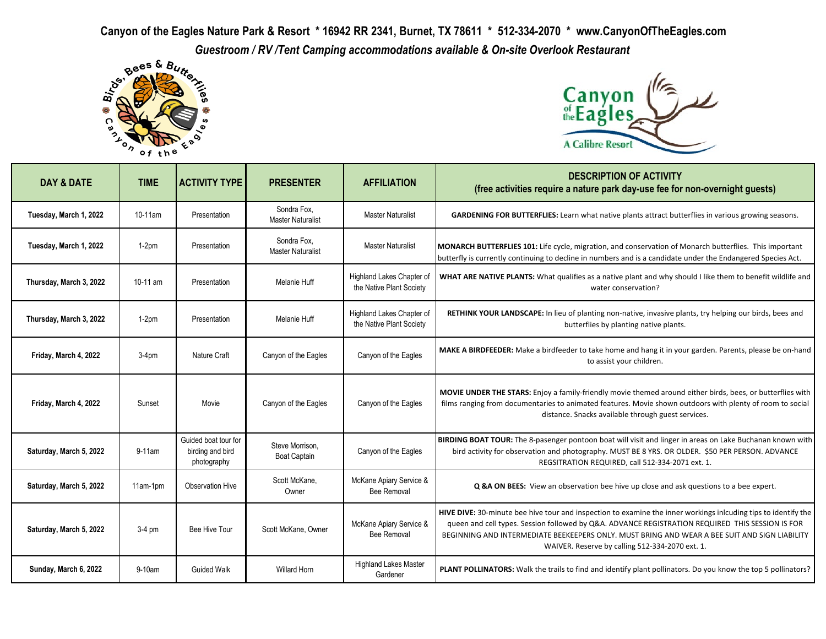**Canyon of the Eagles Nature Park & Resort \* 16942 RR 2341, Burnet, TX 78611 \* 512-334-2070 \* www.CanyonOfTheEagles.com** *Guestroom / RV* /Tent Camping accommodations available & On-site Overlook Restaurant<br>Bank Rome of Butters, Canyon





| DAY & DATE              | <b>TIME</b> | <b>ACTIVITY TYPE</b>                                    | <b>PRESENTER</b>                        | <b>AFFILIATION</b>                                    | <b>DESCRIPTION OF ACTIVITY</b><br>(free activities require a nature park day-use fee for non-overnight guests)                                                                                                                                                                                                                                                         |
|-------------------------|-------------|---------------------------------------------------------|-----------------------------------------|-------------------------------------------------------|------------------------------------------------------------------------------------------------------------------------------------------------------------------------------------------------------------------------------------------------------------------------------------------------------------------------------------------------------------------------|
| Tuesday, March 1, 2022  | 10-11am     | Presentation                                            | Sondra Fox,<br><b>Master Naturalist</b> | <b>Master Naturalist</b>                              | <b>GARDENING FOR BUTTERFLIES:</b> Learn what native plants attract butterflies in various growing seasons.                                                                                                                                                                                                                                                             |
| Tuesday, March 1, 2022  | $1-2pm$     | Presentation                                            | Sondra Fox.<br><b>Master Naturalist</b> | <b>Master Naturalist</b>                              | MONARCH BUTTERFLIES 101: Life cycle, migration, and conservation of Monarch butterflies. This important<br>butterfly is currently continuing to decline in numbers and is a candidate under the Endangered Species Act.                                                                                                                                                |
| Thursday, March 3, 2022 | 10-11 am    | Presentation                                            | Melanie Huff                            | Highland Lakes Chapter of<br>the Native Plant Society | WHAT ARE NATIVE PLANTS: What qualifies as a native plant and why should I like them to benefit wildlife and<br>water conservation?                                                                                                                                                                                                                                     |
| Thursday, March 3, 2022 | $1-2pm$     | Presentation                                            | Melanie Huff                            | Highland Lakes Chapter of<br>the Native Plant Society | RETHINK YOUR LANDSCAPE: In lieu of planting non-native, invasive plants, try helping our birds, bees and<br>butterflies by planting native plants.                                                                                                                                                                                                                     |
| Friday, March 4, 2022   | $3-4pm$     | Nature Craft                                            | Canyon of the Eagles                    | Canyon of the Eagles                                  | MAKE A BIRDFEEDER: Make a birdfeeder to take home and hang it in your garden. Parents, please be on-hand<br>to assist your children.                                                                                                                                                                                                                                   |
| Friday, March 4, 2022   | Sunset      | Movie                                                   | Canyon of the Eagles                    | Canyon of the Eagles                                  | MOVIE UNDER THE STARS: Enjoy a family-friendly movie themed around either birds, bees, or butterflies with<br>films ranging from documentaries to animated features. Movie shown outdoors with plenty of room to social<br>distance. Snacks available through guest services.                                                                                          |
| Saturday, March 5, 2022 | 9-11am      | Guided boat tour for<br>birding and bird<br>photography | Steve Morrison,<br><b>Boat Captain</b>  | Canyon of the Eagles                                  | BIRDING BOAT TOUR: The 8-pasenger pontoon boat will visit and linger in areas on Lake Buchanan known with<br>bird activity for observation and photography. MUST BE 8 YRS. OR OLDER. \$50 PER PERSON. ADVANCE<br>REGSITRATION REQUIRED, call 512-334-2071 ext. 1.                                                                                                      |
| Saturday, March 5, 2022 | 11am-1pm    | <b>Observation Hive</b>                                 | Scott McKane,<br>Owner                  | McKane Apiary Service &<br><b>Bee Removal</b>         | Q & A ON BEES: View an observation bee hive up close and ask questions to a bee expert.                                                                                                                                                                                                                                                                                |
| Saturday, March 5, 2022 | $3-4$ pm    | Bee Hive Tour                                           | Scott McKane, Owner                     | McKane Apiary Service &<br><b>Bee Removal</b>         | HIVE DIVE: 30-minute bee hive tour and inspection to examine the inner workings inlcuding tips to identify the<br>queen and cell types. Session followed by Q&A. ADVANCE REGISTRATION REQUIRED THIS SESSION IS FOR<br>BEGINNING AND INTERMEDIATE BEEKEEPERS ONLY. MUST BRING AND WEAR A BEE SUIT AND SIGN LIABILITY<br>WAIVER. Reserve by calling 512-334-2070 ext. 1. |
| Sunday, March 6, 2022   | $9-10$ am   | <b>Guided Walk</b>                                      | <b>Willard Horn</b>                     | <b>Highland Lakes Master</b><br>Gardener              | PLANT POLLINATORS: Walk the trails to find and identify plant pollinators. Do you know the top 5 pollinators?                                                                                                                                                                                                                                                          |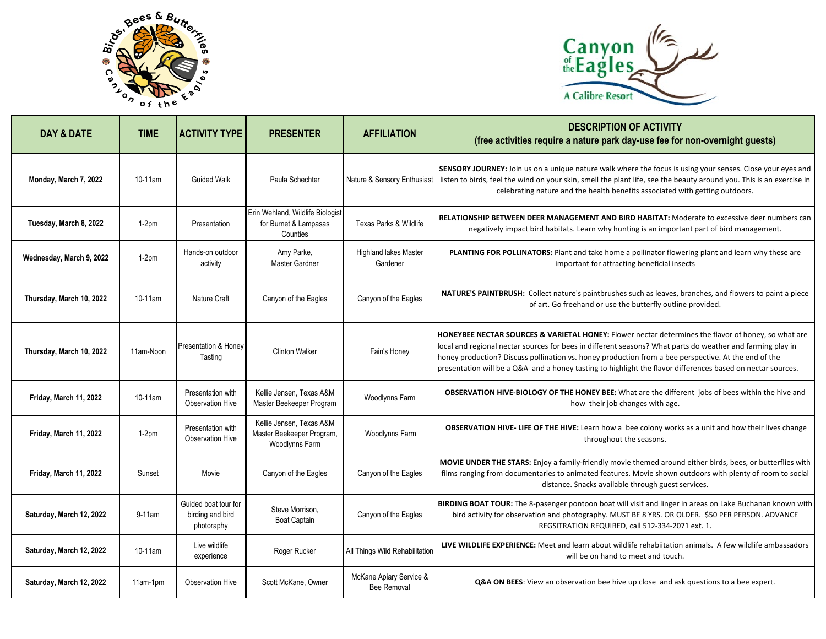



| <b>DAY &amp; DATE</b>    | <b>TIME</b> | <b>ACTIVITY TYPE</b>                                   | <b>PRESENTER</b>                                                        | <b>AFFILIATION</b>                            | <b>DESCRIPTION OF ACTIVITY</b><br>(free activities require a nature park day-use fee for non-overnight guests)                                                                                                                                                                                                                                                                                                                           |
|--------------------------|-------------|--------------------------------------------------------|-------------------------------------------------------------------------|-----------------------------------------------|------------------------------------------------------------------------------------------------------------------------------------------------------------------------------------------------------------------------------------------------------------------------------------------------------------------------------------------------------------------------------------------------------------------------------------------|
| Monday, March 7, 2022    | 10-11am     | <b>Guided Walk</b>                                     | Paula Schechter                                                         | Nature & Sensory Enthusiast                   | <b>SENSORY JOURNEY:</b> Join us on a unique nature walk where the focus is using your senses. Close your eyes and<br>listen to birds, feel the wind on your skin, smell the plant life, see the beauty around you. This is an exercise in<br>celebrating nature and the health benefits associated with getting outdoors.                                                                                                                |
| Tuesday, March 8, 2022   | $1-2pm$     | Presentation                                           | Erin Wehland, Wildlife Biologist<br>for Burnet & Lampasas<br>Counties   | <b>Texas Parks &amp; Wildlife</b>             | RELATIONSHIP BETWEEN DEER MANAGEMENT AND BIRD HABITAT: Moderate to excessive deer numbers can<br>negatively impact bird habitats. Learn why hunting is an important part of bird management.                                                                                                                                                                                                                                             |
| Wednesday, March 9, 2022 | $1-2pm$     | Hands-on outdoor<br>activity                           | Amy Parke,<br>Master Gardner                                            | <b>Highland lakes Master</b><br>Gardener      | PLANTING FOR POLLINATORS: Plant and take home a pollinator flowering plant and learn why these are<br>important for attracting beneficial insects                                                                                                                                                                                                                                                                                        |
| Thursday, March 10, 2022 | 10-11am     | Nature Craft                                           | Canyon of the Eagles                                                    | Canyon of the Eagles                          | NATURE'S PAINTBRUSH: Collect nature's paintbrushes such as leaves, branches, and flowers to paint a piece<br>of art. Go freehand or use the butterfly outline provided.                                                                                                                                                                                                                                                                  |
| Thursday, March 10, 2022 | 11am-Noon   | Presentation & Honev<br>Tasting                        | <b>Clinton Walker</b>                                                   | Fain's Honey                                  | HONEYBEE NECTAR SOURCES & VARIETAL HONEY: Flower nectar determines the flavor of honey, so what are<br>local and regional nectar sources for bees in different seasons? What parts do weather and farming play in<br>honey production? Discuss pollination vs. honey production from a bee perspective. At the end of the<br>presentation will be a Q&A and a honey tasting to highlight the flavor differences based on nectar sources. |
| Friday, March 11, 2022   | 10-11am     | Presentation with<br><b>Observation Hive</b>           | Kellie Jensen, Texas A&M<br>Master Beekeeper Program                    | Woodlynns Farm                                | OBSERVATION HIVE-BIOLOGY OF THE HONEY BEE: What are the different jobs of bees within the hive and<br>how their job changes with age.                                                                                                                                                                                                                                                                                                    |
| Friday, March 11, 2022   | $1-2pm$     | Presentation with<br><b>Observation Hive</b>           | Kellie Jensen, Texas A&M<br>Master Beekeeper Program,<br>Woodlynns Farm | Woodlynns Farm                                | <b>OBSERVATION HIVE- LIFE OF THE HIVE:</b> Learn how a bee colony works as a unit and how their lives change<br>throughout the seasons.                                                                                                                                                                                                                                                                                                  |
| Friday, March 11, 2022   | Sunset      | Movie                                                  | Canyon of the Eagles                                                    | Canyon of the Eagles                          | MOVIE UNDER THE STARS: Enjoy a family-friendly movie themed around either birds, bees, or butterflies with<br>films ranging from documentaries to animated features. Movie shown outdoors with plenty of room to social<br>distance. Snacks available through guest services.                                                                                                                                                            |
| Saturday, March 12, 2022 | 9-11am      | Guided boat tour for<br>birding and bird<br>photoraphy | Steve Morrison,<br><b>Boat Captain</b>                                  | Canyon of the Eagles                          | BIRDING BOAT TOUR: The 8-pasenger pontoon boat will visit and linger in areas on Lake Buchanan known with<br>bird activity for observation and photography. MUST BE 8 YRS. OR OLDER. \$50 PER PERSON. ADVANCE<br>REGSITRATION REQUIRED, call 512-334-2071 ext. 1.                                                                                                                                                                        |
| Saturday, March 12, 2022 | 10-11am     | Live wildlife<br>experience                            | Roger Rucker                                                            | All Things Wild Rehabilitation                | LIVE WILDLIFE EXPERIENCE: Meet and learn about wildlife rehabiitation animals. A few wildlife ambassadors<br>will be on hand to meet and touch.                                                                                                                                                                                                                                                                                          |
| Saturday, March 12, 2022 | 11am-1pm    | <b>Observation Hive</b>                                | Scott McKane, Owner                                                     | McKane Apiary Service &<br><b>Bee Removal</b> | <b>Q&amp;A ON BEES:</b> View an observation bee hive up close and ask questions to a bee expert.                                                                                                                                                                                                                                                                                                                                         |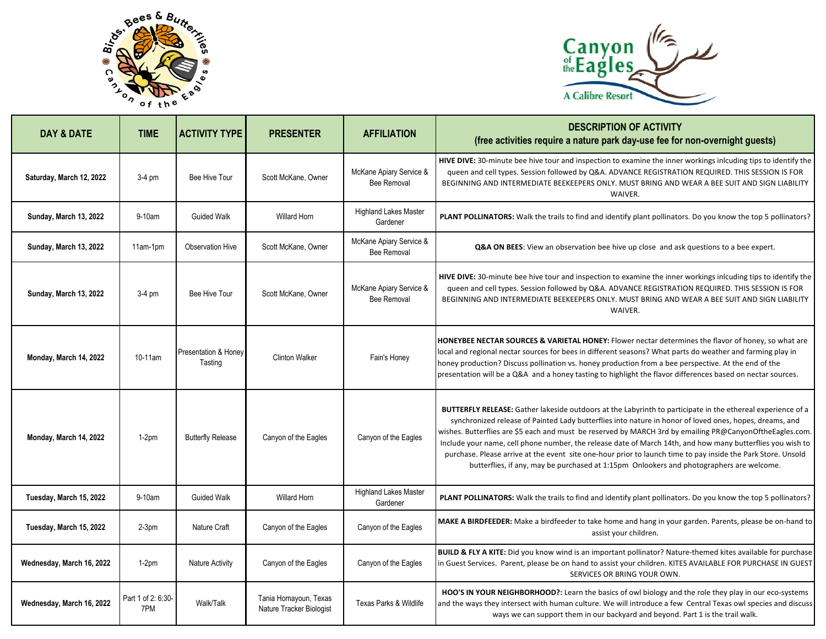



| DAY & DATE                    | <b>TIME</b>              | <b>ACTIVITY TYPE</b>                       | <b>PRESENTER</b>                                  | <b>AFFILIATION</b>                            | <b>DESCRIPTION OF ACTIVITY</b><br>(free activities require a nature park day-use fee for non-overnight guests)                                                                                                                                                                                                                                                                                                                                                                                                                                                                                                                                                      |
|-------------------------------|--------------------------|--------------------------------------------|---------------------------------------------------|-----------------------------------------------|---------------------------------------------------------------------------------------------------------------------------------------------------------------------------------------------------------------------------------------------------------------------------------------------------------------------------------------------------------------------------------------------------------------------------------------------------------------------------------------------------------------------------------------------------------------------------------------------------------------------------------------------------------------------|
| Saturday, March 12, 2022      | $3-4$ pm                 | Bee Hive Tour                              | Scott McKane, Owner                               | McKane Apiary Service &<br><b>Bee Removal</b> | HIVE DIVE: 30-minute bee hive tour and inspection to examine the inner workings inlcuding tips to identify the<br>queen and cell types. Session followed by Q&A. ADVANCE REGISTRATION REQUIRED. THIS SESSION IS FOR<br>BEGINNING AND INTERMEDIATE BEEKEEPERS ONLY. MUST BRING AND WEAR A BEE SUIT AND SIGN LIABILITY<br>WAIVER.                                                                                                                                                                                                                                                                                                                                     |
| Sunday, March 13, 2022        | 9-10am                   | <b>Guided Walk</b>                         | <b>Willard Horn</b>                               | <b>Highland Lakes Master</b><br>Gardener      | PLANT POLLINATORS: Walk the trails to find and identify plant pollinators. Do you know the top 5 pollinators?                                                                                                                                                                                                                                                                                                                                                                                                                                                                                                                                                       |
| <b>Sunday, March 13, 2022</b> | 11am-1pm                 | Observation Hive                           | Scott McKane, Owner                               | McKane Apiary Service &<br><b>Bee Removal</b> | Q&A ON BEES: View an observation bee hive up close and ask questions to a bee expert.                                                                                                                                                                                                                                                                                                                                                                                                                                                                                                                                                                               |
| <b>Sunday, March 13, 2022</b> | $3-4$ pm                 | Bee Hive Tour                              | Scott McKane, Owner                               | McKane Apiary Service &<br><b>Bee Removal</b> | HIVE DIVE: 30-minute bee hive tour and inspection to examine the inner workings inlcuding tips to identify the<br>queen and cell types. Session followed by Q&A. ADVANCE REGISTRATION REQUIRED. THIS SESSION IS FOR<br>BEGINNING AND INTERMEDIATE BEEKEEPERS ONLY. MUST BRING AND WEAR A BEE SUIT AND SIGN LIABILITY<br>WAIVER.                                                                                                                                                                                                                                                                                                                                     |
| Monday, March 14, 2022        | 10-11am                  | <b>Presentation &amp; Honey</b><br>Tasting | <b>Clinton Walker</b>                             | Fain's Honey                                  | HONEYBEE NECTAR SOURCES & VARIETAL HONEY: Flower nectar determines the flavor of honey, so what are<br>local and regional nectar sources for bees in different seasons? What parts do weather and farming play in<br>honey production? Discuss pollination vs. honey production from a bee perspective. At the end of the<br>presentation will be a Q&A and a honey tasting to highlight the flavor differences based on nectar sources.                                                                                                                                                                                                                            |
| Monday, March 14, 2022        | $1-2pm$                  | <b>Butterfly Release</b>                   | Canyon of the Eagles                              | Canyon of the Eagles                          | <b>BUTTERFLY RELEASE:</b> Gather lakeside outdoors at the Labyrinth to participate in the ethereal experience of a<br>synchronized release of Painted Lady butterflies into nature in honor of loved ones, hopes, dreams, and<br>wishes. Butterflies are \$5 each and must be reserved by MARCH 3rd by emailing PR@CanyonOftheEagles.com.<br>Include your name, cell phone number, the release date of March 14th, and how many butterflies you wish to<br>purchase. Please arrive at the event site one-hour prior to launch time to pay inside the Park Store. Unsold<br>butterflies, if any, may be purchased at 1:15pm Onlookers and photographers are welcome. |
| Tuesday, March 15, 2022       | 9-10am                   | <b>Guided Walk</b>                         | <b>Willard Horn</b>                               | <b>Highland Lakes Master</b><br>Gardener      | PLANT POLLINATORS: Walk the trails to find and identify plant pollinators. Do you know the top 5 pollinators?                                                                                                                                                                                                                                                                                                                                                                                                                                                                                                                                                       |
| Tuesday, March 15, 2022       | $2-3pm$                  | Nature Craft                               | Canyon of the Eagles                              | Canyon of the Eagles                          | MAKE A BIRDFEEDER: Make a birdfeeder to take home and hang in your garden. Parents, please be on-hand to<br>assist your children.                                                                                                                                                                                                                                                                                                                                                                                                                                                                                                                                   |
| Wednesday, March 16, 2022     | $1-2pm$                  | <b>Nature Activity</b>                     | Canyon of the Eagles                              | Canyon of the Eagles                          | BUILD & FLY A KITE: Did you know wind is an important pollinator? Nature-themed kites available for purchase<br>in Guest Services. Parent, please be on hand to assist your children. KITES AVAILABLE FOR PURCHASE IN GUEST<br>SERVICES OR BRING YOUR OWN.                                                                                                                                                                                                                                                                                                                                                                                                          |
| Wednesday, March 16, 2022     | Part 1 of 2: 6:30<br>7PM | Walk/Talk                                  | Tania Homayoun, Texas<br>Nature Tracker Biologist | Texas Parks & Wildlife                        | HOO'S IN YOUR NEIGHBORHOOD?: Learn the basics of owl biology and the role they play in our eco-systems<br>and the ways they intersect with human culture. We will introduce a few Central Texas owl species and discuss<br>ways we can support them in our backyard and beyond. Part 1 is the trail walk.                                                                                                                                                                                                                                                                                                                                                           |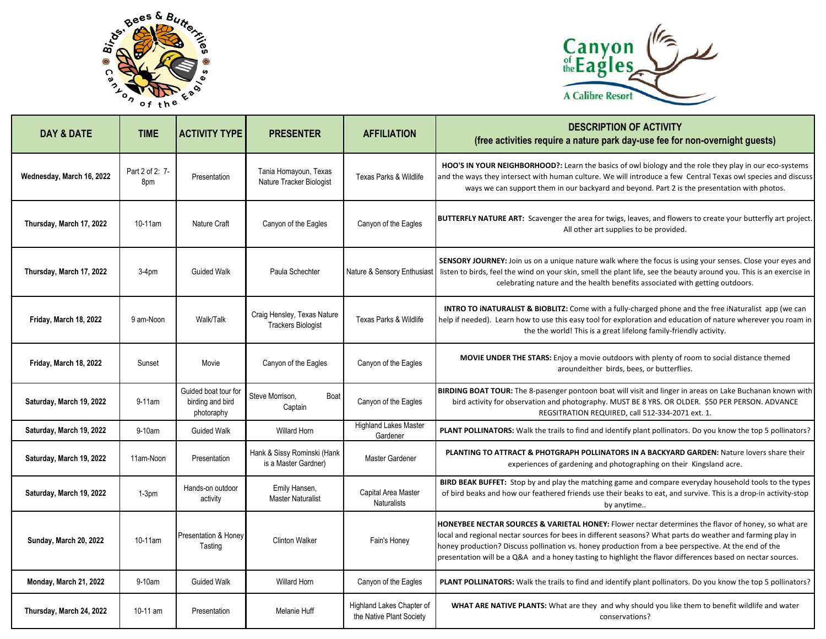



| <b>DAY &amp; DATE</b>         | <b>TIME</b>            | <b>ACTIVITY TYPE</b>                                  | <b>PRESENTER</b>                                         | <b>AFFILIATION</b>                                    | <b>DESCRIPTION OF ACTIVITY</b><br>(free activities require a nature park day-use fee for non-overnight guests)                                                                                                                                                                                                                                                                                                                           |
|-------------------------------|------------------------|-------------------------------------------------------|----------------------------------------------------------|-------------------------------------------------------|------------------------------------------------------------------------------------------------------------------------------------------------------------------------------------------------------------------------------------------------------------------------------------------------------------------------------------------------------------------------------------------------------------------------------------------|
| Wednesday, March 16, 2022     | Part 2 of 2: 7-<br>8pm | Presentation                                          | Tania Homayoun, Texas<br>Nature Tracker Biologist        | <b>Texas Parks &amp; Wildlife</b>                     | HOO'S IN YOUR NEIGHBORHOOD?: Learn the basics of owl biology and the role they play in our eco-systems<br>and the ways they intersect with human culture. We will introduce a few Central Texas owl species and discuss<br>ways we can support them in our backyard and beyond. Part 2 is the presentation with photos.                                                                                                                  |
| Thursday, March 17, 2022      | 10-11am                | Nature Craft                                          | Canyon of the Eagles                                     | Canyon of the Eagles                                  | BUTTERFLY NATURE ART: Scavenger the area for twigs, leaves, and flowers to create your butterfly art project.<br>All other art supplies to be provided.                                                                                                                                                                                                                                                                                  |
| Thursday, March 17, 2022      | $3-4pm$                | <b>Guided Walk</b>                                    | Paula Schechter                                          | Nature & Sensory Enthusiast                           | SENSORY JOURNEY: Join us on a unique nature walk where the focus is using your senses. Close your eyes and<br>listen to birds, feel the wind on your skin, smell the plant life, see the beauty around you. This is an exercise in<br>celebrating nature and the health benefits associated with getting outdoors.                                                                                                                       |
| Friday, March 18, 2022        | 9 am-Noon              | Walk/Talk                                             | Craig Hensley, Texas Nature<br><b>Trackers Biologist</b> | <b>Texas Parks &amp; Wildlife</b>                     | <b>INTRO TO INATURALIST &amp; BIOBLITZ:</b> Come with a fully-charged phone and the free iNaturalist app (we can<br>help if needed). Learn how to use this easy tool for exploration and education of nature wherever you roam in<br>the the world! This is a great lifelong family-friendly activity.                                                                                                                                   |
| Friday, March 18, 2022        | Sunset                 | Movie                                                 | Canyon of the Eagles                                     | Canyon of the Eagles                                  | <b>MOVIE UNDER THE STARS:</b> Enjoy a movie outdoors with plenty of room to social distance themed<br>aroundeither birds, bees, or butterflies.                                                                                                                                                                                                                                                                                          |
| Saturday, March 19, 2022      | $9-11$ am              | Guided boat tour fo<br>birding and bird<br>photoraphy | Steve Morrison,<br>Boat<br>Captain                       | Canyon of the Eagles                                  | BIRDING BOAT TOUR: The 8-pasenger pontoon boat will visit and linger in areas on Lake Buchanan known with<br>bird activity for observation and photography. MUST BE 8 YRS. OR OLDER. \$50 PER PERSON. ADVANCE<br>REGSITRATION REQUIRED, call 512-334-2071 ext. 1.                                                                                                                                                                        |
| Saturday, March 19, 2022      | $9-10am$               | <b>Guided Walk</b>                                    | <b>Willard Horn</b>                                      | <b>Highland Lakes Master</b><br>Gardener              | PLANT POLLINATORS: Walk the trails to find and identify plant pollinators. Do you know the top 5 pollinators?                                                                                                                                                                                                                                                                                                                            |
| Saturday, March 19, 2022      | 11am-Noon              | Presentation                                          | Hank & Sissy Rominski (Hank<br>is a Master Gardner)      | Master Gardener                                       | PLANTING TO ATTRACT & PHOTGRAPH POLLINATORS IN A BACKYARD GARDEN: Nature lovers share their<br>experiences of gardening and photographing on their Kingsland acre.                                                                                                                                                                                                                                                                       |
| Saturday, March 19, 2022      | $1-3pm$                | Hands-on outdoor<br>activity                          | Emily Hansen,<br><b>Master Naturalist</b>                | Capital Area Master<br><b>Naturalists</b>             | <b>BIRD BEAK BUFFET:</b> Stop by and play the matching game and compare everyday household tools to the types<br>of bird beaks and how our feathered friends use their beaks to eat, and survive. This is a drop-in activity-stop<br>by anytime                                                                                                                                                                                          |
| <b>Sunday, March 20, 2022</b> | 10-11am                | Presentation & Honey<br>Tasting                       | <b>Clinton Walker</b>                                    | Fain's Honey                                          | HONEYBEE NECTAR SOURCES & VARIETAL HONEY: Flower nectar determines the flavor of honey, so what are<br>local and regional nectar sources for bees in different seasons? What parts do weather and farming play in<br>honey production? Discuss pollination vs. honey production from a bee perspective. At the end of the<br>presentation will be a Q&A and a honey tasting to highlight the flavor differences based on nectar sources. |
| Monday, March 21, 2022        | 9-10am                 | <b>Guided Walk</b>                                    | <b>Willard Horn</b>                                      | Canyon of the Eagles                                  | PLANT POLLINATORS: Walk the trails to find and identify plant pollinators. Do you know the top 5 pollinators?                                                                                                                                                                                                                                                                                                                            |
| Thursday, March 24, 2022      | 10-11 am               | Presentation                                          | <b>Melanie Huff</b>                                      | Highland Lakes Chapter of<br>the Native Plant Society | WHAT ARE NATIVE PLANTS: What are they and why should you like them to benefit wildlife and water<br>conservations?                                                                                                                                                                                                                                                                                                                       |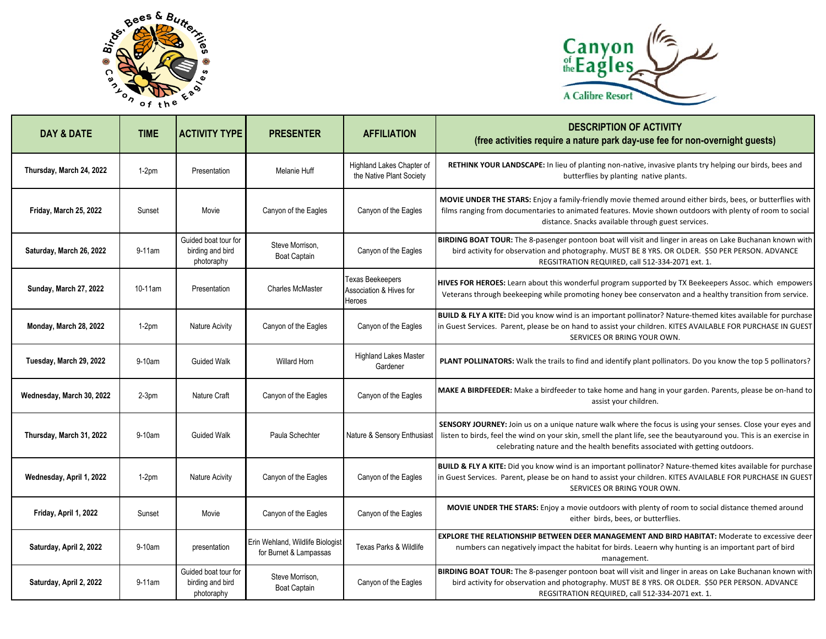



| <b>DAY &amp; DATE</b>     | <b>TIME</b> | <b>ACTIVITY TYPE</b>                                   | <b>PRESENTER</b>                                           | <b>AFFILIATION</b>                                           | <b>DESCRIPTION OF ACTIVITY</b><br>(free activities require a nature park day-use fee for non-overnight guests)                                                                                                                                                                                                    |
|---------------------------|-------------|--------------------------------------------------------|------------------------------------------------------------|--------------------------------------------------------------|-------------------------------------------------------------------------------------------------------------------------------------------------------------------------------------------------------------------------------------------------------------------------------------------------------------------|
| Thursday, March 24, 2022  | $1-2pm$     | Presentation                                           | Melanie Huff                                               | Highland Lakes Chapter of<br>the Native Plant Society        | RETHINK YOUR LANDSCAPE: In lieu of planting non-native, invasive plants try helping our birds, bees and<br>butterflies by planting native plants.                                                                                                                                                                 |
| Friday, March 25, 2022    | Sunset      | Movie                                                  | Canyon of the Eagles                                       | Canyon of the Eagles                                         | MOVIE UNDER THE STARS: Enjoy a family-friendly movie themed around either birds, bees, or butterflies with<br>films ranging from documentaries to animated features. Movie shown outdoors with plenty of room to social<br>distance. Snacks available through guest services.                                     |
| Saturday, March 26, 2022  | $9-11$ am   | Guided boat tour for<br>birding and bird<br>photoraphy | Steve Morrison,<br><b>Boat Captain</b>                     | Canyon of the Eagles                                         | BIRDING BOAT TOUR: The 8-pasenger pontoon boat will visit and linger in areas on Lake Buchanan known with<br>bird activity for observation and photography. MUST BE 8 YRS. OR OLDER. \$50 PER PERSON. ADVANCE<br>REGSITRATION REQUIRED, call 512-334-2071 ext. 1.                                                 |
| Sunday, March 27, 2022    | $10-11$ am  | Presentation                                           | <b>Charles McMaster</b>                                    | <b>Texas Beekeepers</b><br>Association & Hives for<br>Heroes | HIVES FOR HEROES: Learn about this wonderful program supported by TX Beekeepers Assoc. which empowers<br>Veterans through beekeeping while promoting honey bee conservaton and a healthy transition from service.                                                                                                 |
| Monday, March 28, 2022    | $1-2pm$     | Nature Acivity                                         | Canyon of the Eagles                                       | Canyon of the Eagles                                         | BUILD & FLY A KITE: Did you know wind is an important pollinator? Nature-themed kites available for purchase<br>in Guest Services. Parent, please be on hand to assist your children. KITES AVAILABLE FOR PURCHASE IN GUEST<br>SERVICES OR BRING YOUR OWN.                                                        |
| Tuesday, March 29, 2022   | 9-10am      | <b>Guided Walk</b>                                     | <b>Willard Horn</b>                                        | <b>Highland Lakes Master</b><br>Gardener                     | PLANT POLLINATORS: Walk the trails to find and identify plant pollinators. Do you know the top 5 pollinators?                                                                                                                                                                                                     |
| Wednesday, March 30, 2022 | $2-3pm$     | Nature Craft                                           | Canyon of the Eagles                                       | Canyon of the Eagles                                         | MAKE A BIRDFEEDER: Make a birdfeeder to take home and hang in your garden. Parents, please be on-hand to<br>assist your children.                                                                                                                                                                                 |
| Thursday, March 31, 2022  | 9-10am      | <b>Guided Walk</b>                                     | Paula Schechter                                            | Nature & Sensory Enthusiast                                  | SENSORY JOURNEY: Join us on a unique nature walk where the focus is using your senses. Close your eyes and<br>listen to birds, feel the wind on your skin, smell the plant life, see the beautyaround you. This is an exercise in<br>celebrating nature and the health benefits associated with getting outdoors. |
| Wednesday, April 1, 2022  | $1-2pm$     | Nature Acivity                                         | Canyon of the Eagles                                       | Canyon of the Eagles                                         | <b>BUILD &amp; FLY A KITE:</b> Did you know wind is an important pollinator? Nature-themed kites available for purchase<br>in Guest Services. Parent, please be on hand to assist your children. KITES AVAILABLE FOR PURCHASE IN GUEST<br>SERVICES OR BRING YOUR OWN.                                             |
| Friday, April 1, 2022     | Sunset      | Movie                                                  | Canyon of the Eagles                                       | Canyon of the Eagles                                         | MOVIE UNDER THE STARS: Enjoy a movie outdoors with plenty of room to social distance themed around<br>either birds, bees, or butterflies.                                                                                                                                                                         |
| Saturday, April 2, 2022   | 9-10am      | presentation                                           | Erin Wehland, Wildlife Biologist<br>for Burnet & Lampassas | Texas Parks & Wildlife                                       | EXPLORE THE RELATIONSHIP BETWEEN DEER MANAGEMENT AND BIRD HABITAT: Moderate to excessive deer<br>numbers can negatively impact the habitat for birds. Leaern why hunting is an important part of bird<br>management.                                                                                              |
| Saturday, April 2, 2022   | 9-11am      | Guided boat tour for<br>birding and bird<br>photoraphy | Steve Morrison,<br><b>Boat Captain</b>                     | Canyon of the Eagles                                         | BIRDING BOAT TOUR: The 8-pasenger pontoon boat will visit and linger in areas on Lake Buchanan known with<br>bird activity for observation and photography. MUST BE 8 YRS. OR OLDER. \$50 PER PERSON. ADVANCE<br>REGSITRATION REQUIRED, call 512-334-2071 ext. 1.                                                 |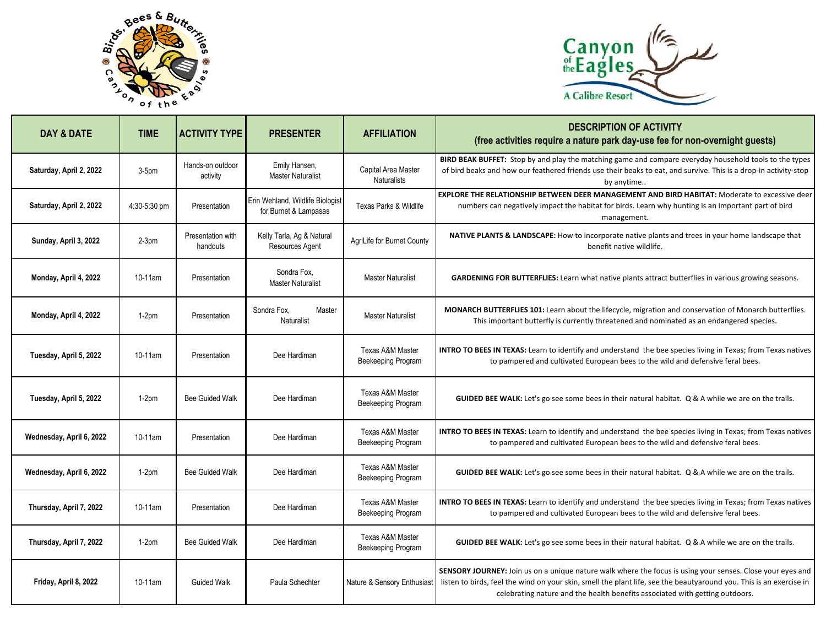



| DAY & DATE               | <b>TIME</b>  | <b>ACTIVITY TYPE</b>          | <b>PRESENTER</b>                                          | <b>AFFILIATION</b>                                | <b>DESCRIPTION OF ACTIVITY</b><br>(free activities require a nature park day-use fee for non-overnight guests)                                                                                                                                                                                                    |
|--------------------------|--------------|-------------------------------|-----------------------------------------------------------|---------------------------------------------------|-------------------------------------------------------------------------------------------------------------------------------------------------------------------------------------------------------------------------------------------------------------------------------------------------------------------|
| Saturday, April 2, 2022  | $3-5pm$      | Hands-on outdoor<br>activity  | Emily Hansen,<br><b>Master Naturalist</b>                 | Capital Area Master<br><b>Naturalists</b>         | BIRD BEAK BUFFET: Stop by and play the matching game and compare everyday household tools to the types<br>of bird beaks and how our feathered friends use their beaks to eat, and survive. This is a drop-in activity-stop<br>by anytime                                                                          |
| Saturday, April 2, 2022  | 4:30-5:30 pm | Presentation                  | Erin Wehland, Wildlife Biologist<br>for Burnet & Lampasas | Texas Parks & Wildlife                            | <b>EXPLORE THE RELATIONSHIP BETWEEN DEER MANAGEMENT AND BIRD HABITAT: Moderate to excessive deer</b><br>numbers can negatively impact the habitat for birds. Learn why hunting is an important part of bird<br>management.                                                                                        |
| Sunday, April 3, 2022    | $2-3pm$      | Presentation with<br>handouts | Kelly Tarla, Ag & Natural<br>Resources Agent              | AgriLife for Burnet County                        | NATIVE PLANTS & LANDSCAPE: How to incorporate native plants and trees in your home landscape that<br>benefit native wildlife.                                                                                                                                                                                     |
| Monday, April 4, 2022    | 10-11am      | Presentation                  | Sondra Fox.<br><b>Master Naturalist</b>                   | <b>Master Naturalist</b>                          | GARDENING FOR BUTTERFLIES: Learn what native plants attract butterflies in various growing seasons.                                                                                                                                                                                                               |
| Monday, April 4, 2022    | $1-2pm$      | Presentation                  | Sondra Fox.<br>Master<br>Naturalist                       | <b>Master Naturalist</b>                          | MONARCH BUTTERFLIES 101: Learn about the lifecycle, migration and conservation of Monarch butterflies.<br>This important butterfly is currently threatened and nominated as an endangered species.                                                                                                                |
| Tuesday, April 5, 2022   | 10-11am      | Presentation                  | Dee Hardiman                                              | <b>Texas A&amp;M Master</b><br>Beekeeping Program | INTRO TO BEES IN TEXAS: Learn to identify and understand the bee species living in Texas; from Texas natives<br>to pampered and cultivated European bees to the wild and defensive feral bees.                                                                                                                    |
| Tuesday, April 5, 2022   | $1-2pm$      | <b>Bee Guided Walk</b>        | Dee Hardiman                                              | <b>Texas A&amp;M Master</b><br>Beekeeping Program | GUIDED BEE WALK: Let's go see some bees in their natural habitat. Q & A while we are on the trails.                                                                                                                                                                                                               |
| Wednesday, April 6, 2022 | 10-11am      | Presentation                  | Dee Hardiman                                              | <b>Texas A&amp;M Master</b><br>Beekeeping Program | INTRO TO BEES IN TEXAS: Learn to identify and understand the bee species living in Texas; from Texas natives<br>to pampered and cultivated European bees to the wild and defensive feral bees.                                                                                                                    |
| Wednesday, April 6, 2022 | $1-2pm$      | <b>Bee Guided Walk</b>        | Dee Hardiman                                              | <b>Texas A&amp;M Master</b><br>Beekeeping Program | <b>GUIDED BEE WALK:</b> Let's go see some bees in their natural habitat. Q & A while we are on the trails.                                                                                                                                                                                                        |
| Thursday, April 7, 2022  | 10-11am      | Presentation                  | Dee Hardiman                                              | <b>Texas A&amp;M Master</b><br>Beekeeping Program | <b>INTRO TO BEES IN TEXAS:</b> Learn to identify and understand the bee species living in Texas; from Texas natives<br>to pampered and cultivated European bees to the wild and defensive feral bees.                                                                                                             |
| Thursday, April 7, 2022  | $1-2pm$      | <b>Bee Guided Walk</b>        | Dee Hardiman                                              | <b>Texas A&amp;M Master</b><br>Beekeeping Program | GUIDED BEE WALK: Let's go see some bees in their natural habitat. Q & A while we are on the trails.                                                                                                                                                                                                               |
| Friday, April 8, 2022    | 10-11am      | <b>Guided Walk</b>            | Paula Schechter                                           | Nature & Sensory Enthusiast                       | SENSORY JOURNEY: Join us on a unique nature walk where the focus is using your senses. Close your eyes and<br>listen to birds, feel the wind on your skin, smell the plant life, see the beautyaround you. This is an exercise in<br>celebrating nature and the health benefits associated with getting outdoors. |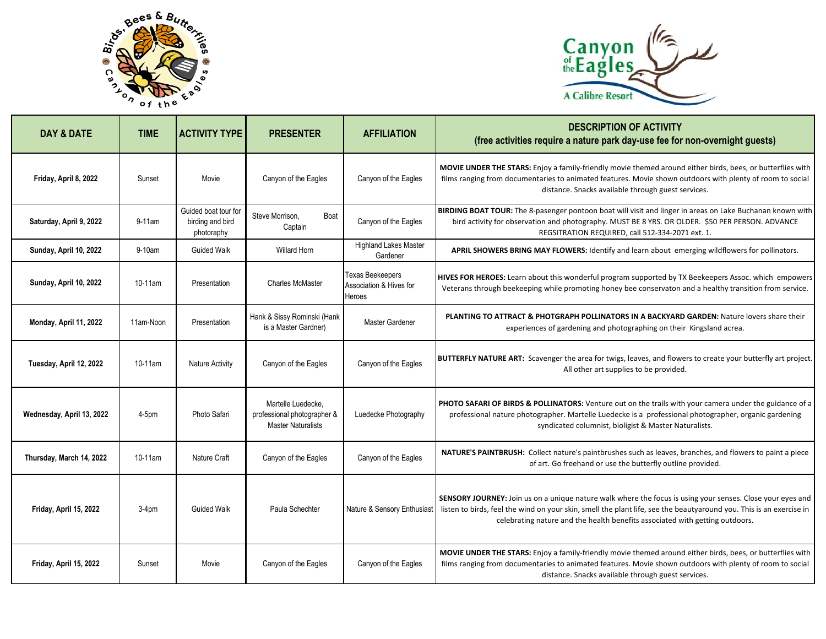



| <b>DAY &amp; DATE</b>     | <b>TIME</b> | <b>ACTIVITY TYPE</b>                                   | <b>PRESENTER</b>                                                               | <b>AFFILIATION</b>                                           | <b>DESCRIPTION OF ACTIVITY</b><br>(free activities require a nature park day-use fee for non-overnight guests)                                                                                                                                                                                                    |
|---------------------------|-------------|--------------------------------------------------------|--------------------------------------------------------------------------------|--------------------------------------------------------------|-------------------------------------------------------------------------------------------------------------------------------------------------------------------------------------------------------------------------------------------------------------------------------------------------------------------|
| Friday, April 8, 2022     | Sunset      | Movie                                                  | Canyon of the Eagles                                                           | Canyon of the Eagles                                         | MOVIE UNDER THE STARS: Enjoy a family-friendly movie themed around either birds, bees, or butterflies with<br>films ranging from documentaries to animated features. Movie shown outdoors with plenty of room to social<br>distance. Snacks available through guest services.                                     |
| Saturday, April 9, 2022   | 9-11am      | Guided boat tour for<br>birding and bird<br>photoraphy | Steve Morrison,<br>Boat<br>Captain                                             | Canyon of the Eagles                                         | BIRDING BOAT TOUR: The 8-pasenger pontoon boat will visit and linger in areas on Lake Buchanan known with<br>bird activity for observation and photography. MUST BE 8 YRS. OR OLDER. \$50 PER PERSON. ADVANCE<br>REGSITRATION REQUIRED, call 512-334-2071 ext. 1.                                                 |
| Sunday, April 10, 2022    | 9-10am      | <b>Guided Walk</b>                                     | <b>Willard Horn</b>                                                            | <b>Highland Lakes Master</b><br>Gardener                     | APRIL SHOWERS BRING MAY FLOWERS: Identify and learn about emerging wildflowers for pollinators.                                                                                                                                                                                                                   |
| Sunday, April 10, 2022    | 10-11am     | Presentation                                           | <b>Charles McMaster</b>                                                        | <b>Texas Beekeepers</b><br>Association & Hives for<br>Heroes | HIVES FOR HEROES: Learn about this wonderful program supported by TX Beekeepers Assoc. which empowers<br>Veterans through beekeeping while promoting honey bee conservaton and a healthy transition from service.                                                                                                 |
| Monday, April 11, 2022    | 11am-Noon   | Presentation                                           | Hank & Sissy Rominski (Hank<br>is a Master Gardner)                            | <b>Master Gardener</b>                                       | <b>PLANTING TO ATTRACT &amp; PHOTGRAPH POLLINATORS IN A BACKYARD GARDEN: Nature lovers share their</b><br>experiences of gardening and photographing on their Kingsland acrea.                                                                                                                                    |
| Tuesday, April 12, 2022   | 10-11am     | <b>Nature Activity</b>                                 | Canyon of the Eagles                                                           | Canyon of the Eagles                                         | BUTTERFLY NATURE ART: Scavenger the area for twigs, leaves, and flowers to create your butterfly art project.<br>All other art supplies to be provided.                                                                                                                                                           |
| Wednesday, April 13, 2022 | 4-5pm       | Photo Safari                                           | Martelle Luedecke.<br>professional photographer &<br><b>Master Naturalists</b> | Luedecke Photography                                         | PHOTO SAFARI OF BIRDS & POLLINATORS: Venture out on the trails with your camera under the guidance of a<br>professional nature photographer. Martelle Luedecke is a professional photographer, organic gardening<br>syndicated columnist, bioligist & Master Naturalists.                                         |
| Thursday, March 14, 2022  | 10-11am     | Nature Craft                                           | Canyon of the Eagles                                                           | Canyon of the Eagles                                         | NATURE'S PAINTBRUSH: Collect nature's paintbrushes such as leaves, branches, and flowers to paint a piece<br>of art. Go freehand or use the butterfly outline provided.                                                                                                                                           |
| Friday, April 15, 2022    | $3-4pm$     | <b>Guided Walk</b>                                     | Paula Schechter                                                                | Nature & Sensory Enthusiast                                  | SENSORY JOURNEY: Join us on a unique nature walk where the focus is using your senses. Close your eyes and<br>listen to birds, feel the wind on your skin, smell the plant life, see the beautyaround you. This is an exercise in<br>celebrating nature and the health benefits associated with getting outdoors. |
| Friday, April 15, 2022    | Sunset      | Movie                                                  | Canyon of the Eagles                                                           | Canyon of the Eagles                                         | MOVIE UNDER THE STARS: Enjoy a family-friendly movie themed around either birds, bees, or butterflies with<br>films ranging from documentaries to animated features. Movie shown outdoors with plenty of room to social<br>distance. Snacks available through guest services.                                     |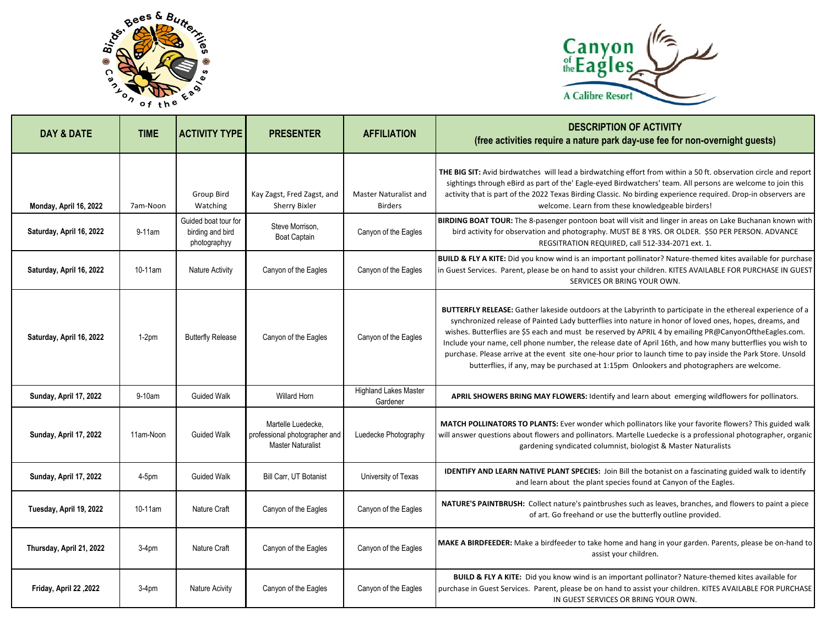



| <b>DAY &amp; DATE</b>    | <b>TIME</b> | <b>ACTIVITY TYPE</b>                                     | <b>PRESENTER</b>                                                                | <b>AFFILIATION</b>                             | <b>DESCRIPTION OF ACTIVITY</b><br>(free activities require a nature park day-use fee for non-overnight guests)                                                                                                                                                                                                                                                                                                                                                                                                                                                                                                                                                    |
|--------------------------|-------------|----------------------------------------------------------|---------------------------------------------------------------------------------|------------------------------------------------|-------------------------------------------------------------------------------------------------------------------------------------------------------------------------------------------------------------------------------------------------------------------------------------------------------------------------------------------------------------------------------------------------------------------------------------------------------------------------------------------------------------------------------------------------------------------------------------------------------------------------------------------------------------------|
| Monday, April 16, 2022   | 7am-Noon    | Group Bird<br>Watching                                   | Kay Zagst, Fred Zagst, and<br><b>Sherry Bixler</b>                              | <b>Master Naturalist and</b><br><b>Birders</b> | THE BIG SIT: Avid birdwatches will lead a birdwatching effort from within a 50 ft. observation circle and report<br>sightings through eBird as part of the' Eagle-eyed Birdwatchers' team. All persons are welcome to join this<br>activity that is part of the 2022 Texas Birding Classic. No birding experience required. Drop-in observers are<br>welcome. Learn from these knowledgeable birders!                                                                                                                                                                                                                                                             |
| Saturday, April 16, 2022 | $9-11$ am   | Guided boat tour for<br>birding and bird<br>photographyy | Steve Morrison,<br><b>Boat Captain</b>                                          | Canyon of the Eagles                           | BIRDING BOAT TOUR: The 8-pasenger pontoon boat will visit and linger in areas on Lake Buchanan known with<br>bird activity for observation and photography. MUST BE 8 YRS. OR OLDER. \$50 PER PERSON. ADVANCE<br>REGSITRATION REQUIRED, call 512-334-2071 ext. 1.                                                                                                                                                                                                                                                                                                                                                                                                 |
| Saturday, April 16, 2022 | 10-11am     | <b>Nature Activity</b>                                   | Canyon of the Eagles                                                            | Canyon of the Eagles                           | BUILD & FLY A KITE: Did you know wind is an important pollinator? Nature-themed kites available for purchase<br>in Guest Services. Parent, please be on hand to assist your children. KITES AVAILABLE FOR PURCHASE IN GUEST<br>SERVICES OR BRING YOUR OWN.                                                                                                                                                                                                                                                                                                                                                                                                        |
| Saturday, April 16, 2022 | $1-2pm$     | <b>Butterfly Release</b>                                 | Canyon of the Eagles                                                            | Canyon of the Eagles                           | <b>BUTTERFLY RELEASE:</b> Gather lakeside outdoors at the Labyrinth to participate in the ethereal experience of a<br>synchronized release of Painted Lady butterflies into nature in honor of loved ones, hopes, dreams, and<br>wishes. Butterflies are \$5 each and must be reserved by APRIL 4 by emailing PR@CanyonOftheEagles.com.<br>Include your name, cell phone number, the release date of April 16th, and how many butterflies you wish to<br>purchase. Please arrive at the event site one-hour prior to launch time to pay inside the Park Store. Unsold<br>butterflies, if any, may be purchased at 1:15pm Onlookers and photographers are welcome. |
| Sunday, April 17, 2022   | $9-10$ am   | <b>Guided Walk</b>                                       | <b>Willard Horn</b>                                                             | <b>Highland Lakes Master</b><br>Gardener       | APRIL SHOWERS BRING MAY FLOWERS: Identify and learn about emerging wildflowers for pollinators.                                                                                                                                                                                                                                                                                                                                                                                                                                                                                                                                                                   |
| Sunday, April 17, 2022   | 11am-Noon   | <b>Guided Walk</b>                                       | Martelle Luedecke,<br>professional photographer and<br><b>Master Naturalist</b> | Luedecke Photography                           | MATCH POLLINATORS TO PLANTS: Ever wonder which pollinators like your favorite flowers? This guided walk<br>will answer questions about flowers and pollinators. Martelle Luedecke is a professional photographer, organic<br>gardening syndicated columnist, biologist & Master Naturalists                                                                                                                                                                                                                                                                                                                                                                       |
| Sunday, April 17, 2022   | 4-5pm       | <b>Guided Walk</b>                                       | Bill Carr, UT Botanist                                                          | University of Texas                            | <b>IDENTIFY AND LEARN NATIVE PLANT SPECIES:</b> Join Bill the botanist on a fascinating guided walk to identify<br>and learn about the plant species found at Canyon of the Eagles.                                                                                                                                                                                                                                                                                                                                                                                                                                                                               |
| Tuesday, April 19, 2022  | $10-11$ am  | Nature Craft                                             | Canyon of the Eagles                                                            | Canyon of the Eagles                           | NATURE'S PAINTBRUSH: Collect nature's paintbrushes such as leaves, branches, and flowers to paint a piece<br>of art. Go freehand or use the butterfly outline provided.                                                                                                                                                                                                                                                                                                                                                                                                                                                                                           |
| Thursday, April 21, 2022 | $3-4pm$     | Nature Craft                                             | Canyon of the Eagles                                                            | Canyon of the Eagles                           | MAKE A BIRDFEEDER: Make a birdfeeder to take home and hang in your garden. Parents, please be on-hand to<br>assist your children.                                                                                                                                                                                                                                                                                                                                                                                                                                                                                                                                 |
| Friday, April 22, 2022   | 3-4pm       | Nature Acivity                                           | Canyon of the Eagles                                                            | Canyon of the Eagles                           | BUILD & FLY A KITE: Did you know wind is an important pollinator? Nature-themed kites available for<br>purchase in Guest Services. Parent, please be on hand to assist your children. KITES AVAILABLE FOR PURCHASE<br>IN GUEST SERVICES OR BRING YOUR OWN.                                                                                                                                                                                                                                                                                                                                                                                                        |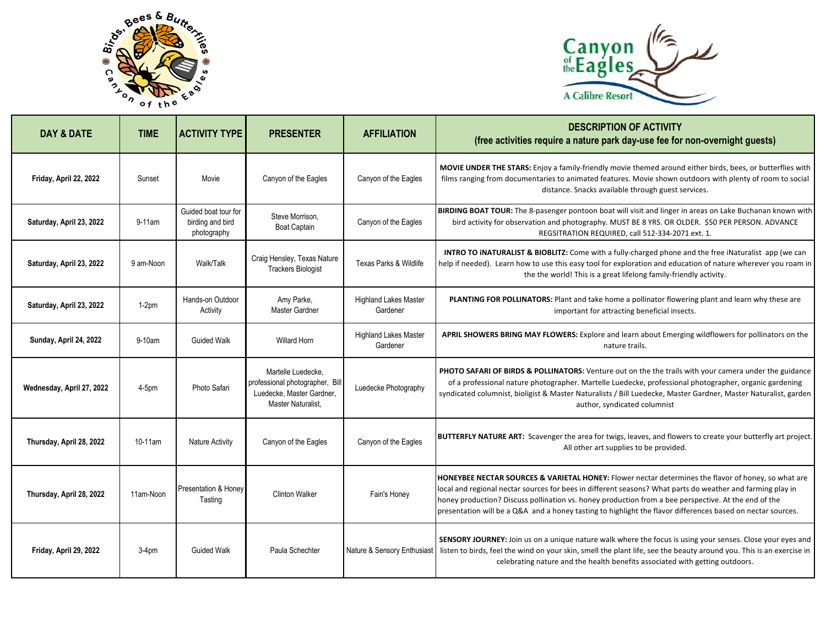



| <b>DAY &amp; DATE</b>     | <b>TIME</b> | <b>ACTIVITY TYPE</b>                                    | <b>PRESENTER</b>                                                                                         | <b>AFFILIATION</b>                       | <b>DESCRIPTION OF ACTIVITY</b><br>(free activities require a nature park day-use fee for non-overnight guests)                                                                                                                                                                                                                                                                                                                           |
|---------------------------|-------------|---------------------------------------------------------|----------------------------------------------------------------------------------------------------------|------------------------------------------|------------------------------------------------------------------------------------------------------------------------------------------------------------------------------------------------------------------------------------------------------------------------------------------------------------------------------------------------------------------------------------------------------------------------------------------|
| Friday, April 22, 2022    | Sunset      | Movie                                                   | Canyon of the Eagles                                                                                     | Canyon of the Eagles                     | MOVIE UNDER THE STARS: Enjoy a family-friendly movie themed around either birds, bees, or butterflies with<br>films ranging from documentaries to animated features. Movie shown outdoors with plenty of room to social<br>distance. Snacks available through guest services.                                                                                                                                                            |
| Saturday, April 23, 2022  | $9-11$ am   | Guided boat tour for<br>birding and bird<br>photography | Steve Morrison,<br><b>Boat Captain</b>                                                                   | Canyon of the Eagles                     | BIRDING BOAT TOUR: The 8-pasenger pontoon boat will visit and linger in areas on Lake Buchanan known with<br>bird activity for observation and photography. MUST BE 8 YRS. OR OLDER. \$50 PER PERSON. ADVANCE<br>REGSITRATION REQUIRED, call 512-334-2071 ext. 1.                                                                                                                                                                        |
| Saturday, April 23, 2022  | 9 am-Noon   | Walk/Talk                                               | Craig Hensley, Texas Nature<br><b>Trackers Biologist</b>                                                 | <b>Texas Parks &amp; Wildlife</b>        | INTRO TO INATURALIST & BIOBLITZ: Come with a fully-charged phone and the free iNaturalist app (we can<br>help if needed). Learn how to use this easy tool for exploration and education of nature wherever you roam in<br>the the world! This is a great lifelong family-friendly activity.                                                                                                                                              |
| Saturday, April 23, 2022  | $1-2pm$     | Hands-on Outdoor<br>Activity                            | Amy Parke,<br>Master Gardner                                                                             | <b>Highland Lakes Master</b><br>Gardener | PLANTING FOR POLLINATORS: Plant and take home a pollinator flowering plant and learn why these are<br>important for attracting beneficial insects.                                                                                                                                                                                                                                                                                       |
| Sunday, April 24, 2022    | 9-10am      | <b>Guided Walk</b>                                      | <b>Willard Horn</b>                                                                                      | <b>Highland Lakes Master</b><br>Gardener | APRIL SHOWERS BRING MAY FLOWERS: Explore and learn about Emerging wildflowers for pollinators on the<br>nature trails.                                                                                                                                                                                                                                                                                                                   |
| Wednesday, April 27, 2022 | $4-5$ pm    | Photo Safari                                            | Martelle Luedecke.<br>professional photographer, Bill<br>Luedecke, Master Gardner,<br>Master Naturalist, | Luedecke Photography                     | <b>PHOTO SAFARI OF BIRDS &amp; POLLINATORS:</b> Venture out on the the trails with your camera under the guidance<br>of a professional nature photographer. Martelle Luedecke, professional photographer, organic gardening<br>syndicated columnist, bioligist & Master Naturalists / Bill Luedecke, Master Gardner, Master Naturalist, garden<br>author, syndicated columnist                                                           |
| Thursday, April 28, 2022  | 10-11am     | <b>Nature Activity</b>                                  | Canyon of the Eagles                                                                                     | Canyon of the Eagles                     | BUTTERFLY NATURE ART: Scavenger the area for twigs, leaves, and flowers to create your butterfly art project.<br>All other art supplies to be provided.                                                                                                                                                                                                                                                                                  |
| Thursday, April 28, 2022  | 11am-Noon   | <b>Presentation &amp; Honey</b><br>Tasting              | <b>Clinton Walker</b>                                                                                    | Fain's Honey                             | HONEYBEE NECTAR SOURCES & VARIETAL HONEY: Flower nectar determines the flavor of honey, so what are<br>local and regional nectar sources for bees in different seasons? What parts do weather and farming play in<br>honey production? Discuss pollination vs. honey production from a bee perspective. At the end of the<br>presentation will be a Q&A and a honey tasting to highlight the flavor differences based on nectar sources. |
| Friday, April 29, 2022    | $3-4pm$     | <b>Guided Walk</b>                                      | Paula Schechter                                                                                          | Nature & Sensory Enthusiast              | SENSORY JOURNEY: Join us on a unique nature walk where the focus is using your senses. Close your eyes and<br>listen to birds, feel the wind on your skin, smell the plant life, see the beauty around you. This is an exercise in<br>celebrating nature and the health benefits associated with getting outdoors.                                                                                                                       |